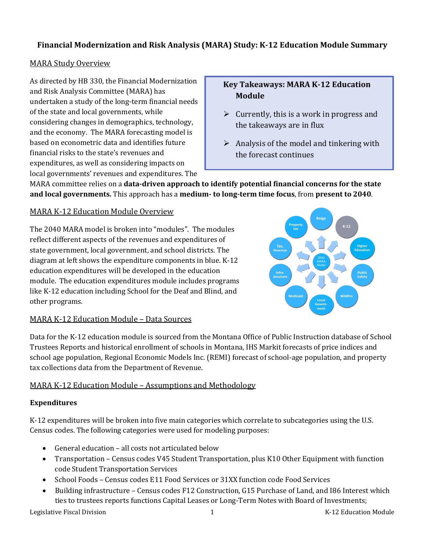# **Financial Modernization and Risk Analysis (MARA) Study: K-12 Education Module Summary**

## MARA Study Overview

As directed by HB 330, the Financial Modernization and Risk Analysis Committee (MARA) has undertaken a study of the long-term financial needs of the state and local governments, while considering changes in demographics, technology, and the economy. The MARA forecasting model is based on econometric data and identifies future financial risks to the state's revenues and expenditures, as well as considering impacts on local governments' revenues and expenditures. The

## **Key Takeaways: MARA K-12 Education Module**

- $\triangleright$  Currently, this is a work in progress and the takeaways are in flux
- $\triangleright$  Analysis of the model and tinkering with the forecast continues

MARA committee relies on a **data-driven approach to identify potential financial concerns for the state and local governments.** This approach has a **medium- to long-term time focus**, from **present to 2040**.

# MARA K-12 Education Module Overview

The 2040 MARA model is broken into "modules". The modules reflect different aspects of the revenues and expenditures of state government, local government, and school districts. The diagram at left shows the expenditure components in blue. K-12 education expenditures will be developed in the education module. The education expenditures module includes programs like K-12 education including School for the Deaf and Blind, and other programs.



## MARA K-12 Education Module – Data Sources

Data for the K-12 education module is sourced from the Montana Office of Public Instruction database of School Trustees Reports and historical enrollment of schools in Montana, IHS Markit forecasts of price indices and school age population, Regional Economic Models Inc. (REMI) forecast of school-age population, and property tax collections data from the Department of Revenue.

## MARA K-12 Education Module – Assumptions and Methodology

## **Expenditures**

K-12 expenditures will be broken into five main categories which correlate to subcategories using the U.S. Census codes. The following categories were used for modeling purposes:

- General education all costs not articulated below
- Transportation Census codes V45 Student Transportation, plus K10 Other Equipment with function code Student Transportation Services
- School Foods Census codes E11 Food Services or 31XX function code Food Services
- Building infrastructure Census codes F12 Construction, G15 Purchase of Land, and I86 Interest which ties to trustees reports functions Capital Leases or Long-Term Notes with Board of Investments;

Legislative Fiscal Division **1** The same of the set of the set of the set of the set of the set of the set of the set of the set of the set of the set of the set of the set of the set of the set of the set of the set of th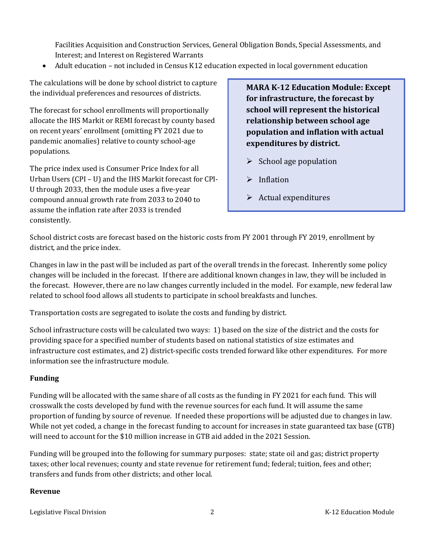Facilities Acquisition and Construction Services, General Obligation Bonds, Special Assessments, and Interest; and Interest on Registered Warrants

• Adult education – not included in Census K12 education expected in local government education

The calculations will be done by school district to capture the individual preferences and resources of districts.

The forecast for school enrollments will proportionally allocate the IHS Markit or REMI forecast by county based on recent years' enrollment (omitting FY 2021 due to pandemic anomalies) relative to county school-age populations.

The price index used is Consumer Price Index for all Urban Users (CPI – U) and the IHS Markit forecast for CPI-U through 2033, then the module uses a five-year compound annual growth rate from 2033 to 2040 to assume the inflation rate after 2033 is trended consistently.

**MARA K-12 Education Module: Except for infrastructure, the forecast by school will represent the historical relationship between school age population and inflation with actual expenditures by district.**

- $\triangleright$  School age population
- $\triangleright$  Inflation
- $\triangleright$  Actual expenditures

School district costs are forecast based on the historic costs from FY 2001 through FY 2019, enrollment by district, and the price index.

Changes in law in the past will be included as part of the overall trends in the forecast. Inherently some policy changes will be included in the forecast. If there are additional known changes in law, they will be included in the forecast. However, there are no law changes currently included in the model. For example, new federal law related to school food allows all students to participate in school breakfasts and lunches.

Transportation costs are segregated to isolate the costs and funding by district.

School infrastructure costs will be calculated two ways: 1) based on the size of the district and the costs for providing space for a specified number of students based on national statistics of size estimates and infrastructure cost estimates, and 2) district-specific costs trended forward like other expenditures. For more information see the infrastructure module.

#### **Funding**

Funding will be allocated with the same share of all costs as the funding in FY 2021 for each fund. This will crosswalk the costs developed by fund with the revenue sources for each fund. It will assume the same proportion of funding by source of revenue. If needed these proportions will be adjusted due to changes in law. While not yet coded, a change in the forecast funding to account for increases in state guaranteed tax base (GTB) will need to account for the \$10 million increase in GTB aid added in the 2021 Session.

Funding will be grouped into the following for summary purposes: state; state oil and gas; district property taxes; other local revenues; county and state revenue for retirement fund; federal; tuition, fees and other; transfers and funds from other districts; and other local.

#### **Revenue**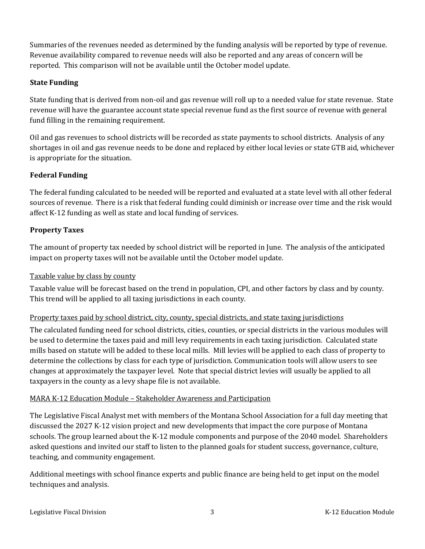Summaries of the revenues needed as determined by the funding analysis will be reported by type of revenue. Revenue availability compared to revenue needs will also be reported and any areas of concern will be reported. This comparison will not be available until the October model update.

## **State Funding**

State funding that is derived from non-oil and gas revenue will roll up to a needed value for state revenue. State revenue will have the guarantee account state special revenue fund as the first source of revenue with general fund filling in the remaining requirement.

Oil and gas revenues to school districts will be recorded as state payments to school districts. Analysis of any shortages in oil and gas revenue needs to be done and replaced by either local levies or state GTB aid, whichever is appropriate for the situation.

## **Federal Funding**

The federal funding calculated to be needed will be reported and evaluated at a state level with all other federal sources of revenue. There is a risk that federal funding could diminish or increase over time and the risk would affect K-12 funding as well as state and local funding of services.

## **Property Taxes**

The amount of property tax needed by school district will be reported in June. The analysis of the anticipated impact on property taxes will not be available until the October model update.

#### Taxable value by class by county

Taxable value will be forecast based on the trend in population, CPI, and other factors by class and by county. This trend will be applied to all taxing jurisdictions in each county.

#### Property taxes paid by school district, city, county, special districts, and state taxing jurisdictions

The calculated funding need for school districts, cities, counties, or special districts in the various modules will be used to determine the taxes paid and mill levy requirements in each taxing jurisdiction. Calculated state mills based on statute will be added to these local mills. Mill levies will be applied to each class of property to determine the collections by class for each type of jurisdiction. Communication tools will allow users to see changes at approximately the taxpayer level. Note that special district levies will usually be applied to all taxpayers in the county as a levy shape file is not available.

#### MARA K-12 Education Module – Stakeholder Awareness and Participation

The Legislative Fiscal Analyst met with members of the Montana School Association for a full day meeting that discussed the 2027 K-12 vision project and new developments that impact the core purpose of Montana schools. The group learned about the K-12 module components and purpose of the 2040 model. Shareholders asked questions and invited our staff to listen to the planned goals for student success, governance, culture, teaching, and community engagement.

Additional meetings with school finance experts and public finance are being held to get input on the model techniques and analysis.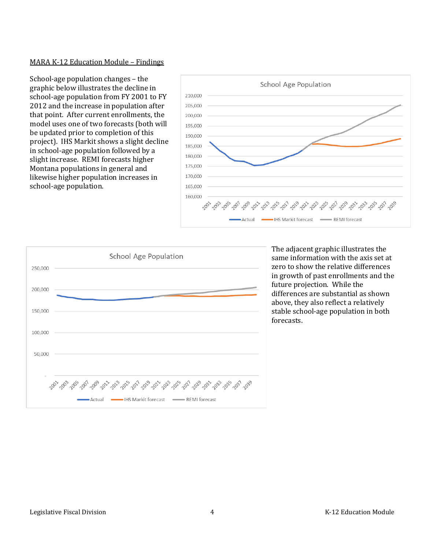#### MARA K-12 Education Module – Findings

School-age population changes – the graphic below illustrates the decline in school-age population from FY 2001 to FY 2012 and the increase in population after that point. After current enrollments, the model uses one of two forecasts (both will be updated prior to completion of this project). IHS Markit shows a slight decline in school-age population followed by a slight increase. REMI forecasts higher Montana populations in general and likewise higher population increases in school-age population.





The adjacent graphic illustrates the same information with the axis set at zero to show the relative differences in growth of past enrollments and the future projection. While the differences are substantial as shown above, they also reflect a relatively stable school-age population in both forecasts.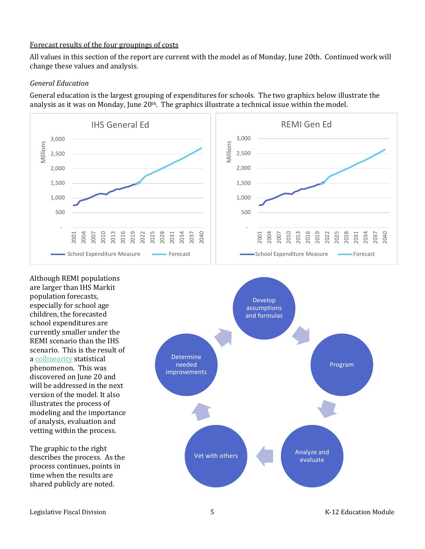#### Forecast results of the four groupings of costs

All values in this section of the report are current with the model as of Monday, June 20th. Continued work will change these values and analysis.

#### *General Education*

General education is the largest grouping of expenditures for schools. The two graphics below illustrate the analysis as it was on Monday, June  $20<sup>th</sup>$ . The graphics illustrate a technical issue within the model.



Although REMI populations are larger than IHS Markit population forecasts, especially for school age children, the forecasted school expenditures are currently smaller under the REMI scenario than the IHS scenario. This is the result of a [collinearity](https://www.statistics.com/glossary/collinearity/) statistical phenomenon. This was discovered on June 20 and will be addressed in the next version of the model. It also illustrates the process of modeling and the importance of analysis, evaluation and vetting within the process.

The graphic to the right describes the process. As the process continues, points in time when the results are shared publicly are noted.

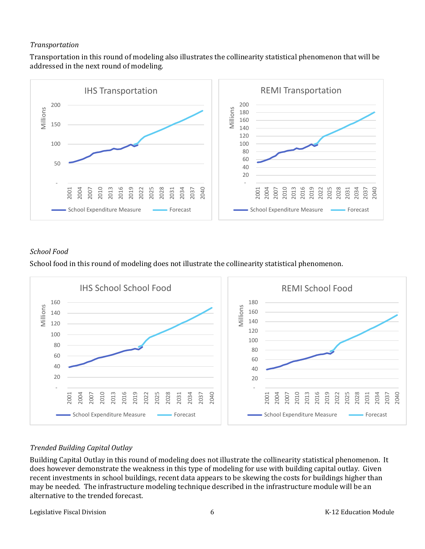#### *Transportation*

Transportation in this round of modeling also illustrates the collinearity statistical phenomenon that will be addressed in the next round of modeling.



## *School Food*

School food in this round of modeling does not illustrate the collinearity statistical phenomenon.



## *Trended Building Capital Outlay*

Building Capital Outlay in this round of modeling does not illustrate the collinearity statistical phenomenon. It does however demonstrate the weakness in this type of modeling for use with building capital outlay. Given recent investments in school buildings, recent data appears to be skewing the costs for buildings higher than may be needed. The infrastructure modeling technique described in the infrastructure module will be an alternative to the trended forecast.

Legislative Fiscal Division **Exercise Construction** 6 **K-12** Education Module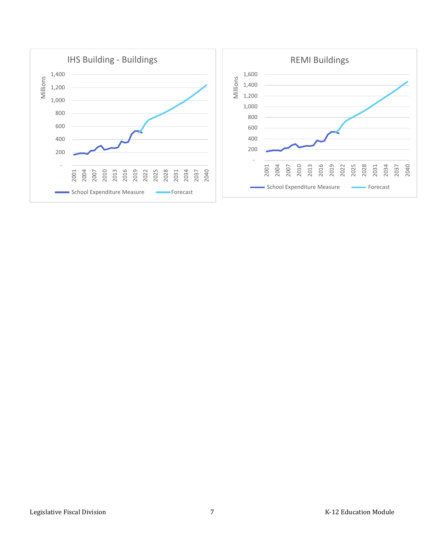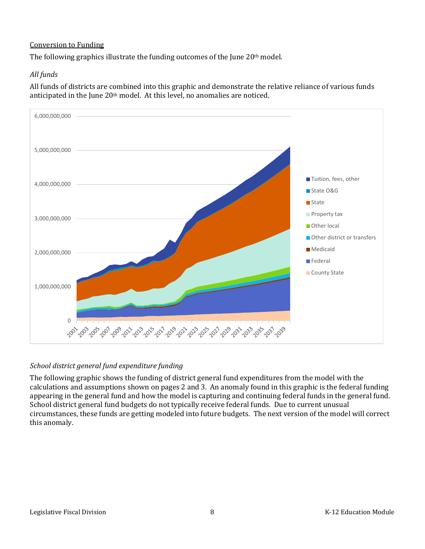## Conversion to Funding

The following graphics illustrate the funding outcomes of the June 20<sup>th</sup> model.

## *All funds*

All funds of districts are combined into this graphic and demonstrate the relative reliance of various funds anticipated in the June 20th model. At this level, no anomalies are noticed.



#### *School district general fund expenditure funding*

The following graphic shows the funding of district general fund expenditures from the model with the calculations and assumptions shown on pages 2 and 3. An anomaly found in this graphic is the federal funding appearing in the general fund and how the model is capturing and continuing federal funds in the general fund. School district general fund budgets do not typically receive federal funds. Due to current unusual circumstances, these funds are getting modeled into future budgets. The next version of the model will correct this anomaly.